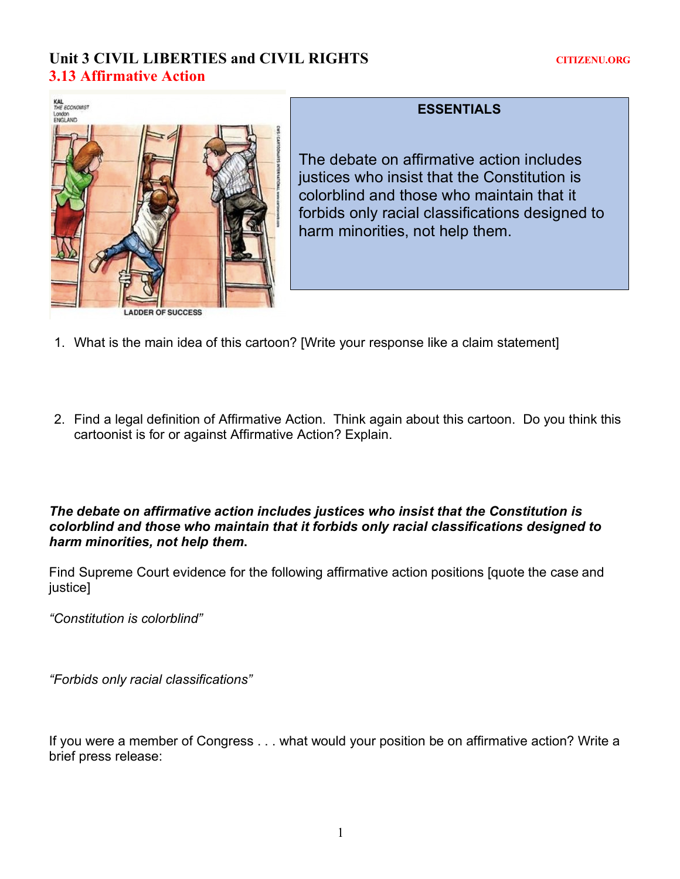# Unit 3 CIVIL LIBERTIES and CIVIL RIGHTS **CITIZENU.ORG 3.13 Affirmative Action**



## **ESSENTIALS**

The debate on affirmative action includes justices who insist that the Constitution is colorblind and those who maintain that it forbids only racial classifications designed to harm minorities, not help them.

- 1. What is the main idea of this cartoon? [Write your response like a claim statement]
- 2. Find a legal definition of Affirmative Action. Think again about this cartoon. Do you think this cartoonist is for or against Affirmative Action? Explain.

*The debate on affirmative action includes justices who insist that the Constitution is colorblind and those who maintain that it forbids only racial classifications designed to harm minorities, not help them***.** 

Find Supreme Court evidence for the following affirmative action positions [quote the case and justice]

*"Constitution is colorblind"*

*"Forbids only racial classifications"*

If you were a member of Congress . . . what would your position be on affirmative action? Write a brief press release: